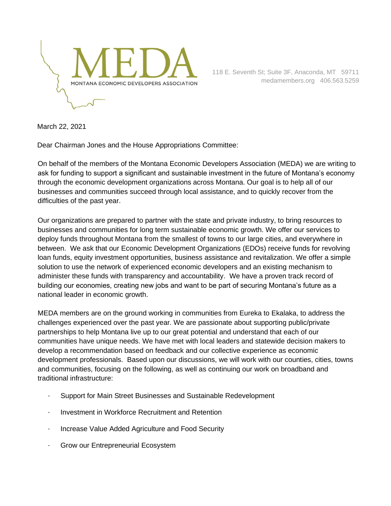

March 22, 2021

Dear Chairman Jones and the House Appropriations Committee:

On behalf of the members of the Montana Economic Developers Association (MEDA) we are writing to ask for funding to support a significant and sustainable investment in the future of Montana's economy through the economic development organizations across Montana. Our goal is to help all of our businesses and communities succeed through local assistance, and to quickly recover from the difficulties of the past year.

Our organizations are prepared to partner with the state and private industry, to bring resources to businesses and communities for long term sustainable economic growth. We offer our services to deploy funds throughout Montana from the smallest of towns to our large cities, and everywhere in between. We ask that our Economic Development Organizations (EDOs) receive funds for revolving loan funds, equity investment opportunities, business assistance and revitalization. We offer a simple solution to use the network of experienced economic developers and an existing mechanism to administer these funds with transparency and accountability. We have a proven track record of building our economies, creating new jobs and want to be part of securing Montana's future as a national leader in economic growth.

MEDA members are on the ground working in communities from Eureka to Ekalaka, to address the challenges experienced over the past year. We are passionate about supporting public/private partnerships to help Montana live up to our great potential and understand that each of our communities have unique needs. We have met with local leaders and statewide decision makers to develop a recommendation based on feedback and our collective experience as economic development professionals. Based upon our discussions, we will work with our counties, cities, towns and communities, focusing on the following, as well as continuing our work on broadband and traditional infrastructure:

- · Support for Main Street Businesses and Sustainable Redevelopment
- · Investment in Workforce Recruitment and Retention
- · Increase Value Added Agriculture and Food Security
- · Grow our Entrepreneurial Ecosystem